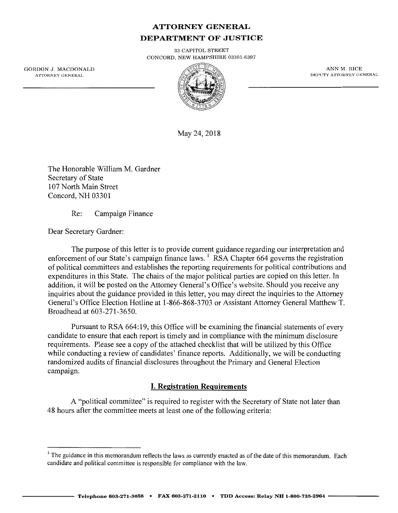# **ATTORNEY GENERAL DEPARTMENT OF JUSTICE**

33 CAPITOL STREET CONCORD, NEW HAMPSHIRE 03301-6397

GORDON J. MACDONALD ATTORNEY GENERAL



ANN M. RICE DEPUTY ATTORNEY GENERAL

May 24, 2018

The Honorable William M. Gardner Secretary of State 107 North Main Street Concord, NH 03301

Re: Campaign Finance

Dear Secretary Gardner:

The purpose of this letter is to provide current guidance regarding our interpretation and enforcement of our State's campaign finance laws.<sup>1</sup> RSA Chapter 664 governs the registration of political committees and establishes the reporting requirements for political contributions and expenditures in this State. The chairs of the major political parties are copied on this letter. In addition, it will be posted on the Attorney General's Office's website. Should you receive any inquiries about the guidance provided in this letter, you may direct the inquiries to the Attorney General's Office Election Hotline at 1-866-868-3703 or Assistant Attorney General Matthew T. Broadhead at 603-271-3650.

Pursuant to RSA 664: 19, this Office will be examining the financial statements of every candidate to ensure that each report is timely and in compliance with the minimum disclosure requirements. Please see a copy of the attached checklist that will be utilized by this Office while conducting a review of candidates' finance reports. Additionally, we will be conducting randomized audits of financial disclosures throughout the Primary and General Election campaign.

## **I. Registration Requirements**

A "political committee" is required to register with the Secretary of State not later than 48 hours after the committee meets at least one of the following criteria:

<sup>&</sup>lt;sup>1</sup> The guidance in this memorandum reflects the laws as currently enacted as of the date of this memorandum. Each candidate and political committee is responsible for compliance with the law.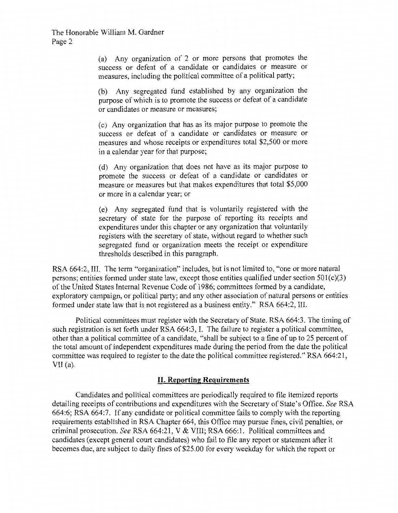(a) Any organization of 2 or more persons that promotes the success or defeat of a candidate or candidates or measure or measures, including the political committee of a political party;

(b) Any segregated fund established by any organization the purpose of which is to promote the success or defeat of a candidate or candidates or measure or measures;

( c) Any organization that has as its major purpose to promote the success or defeat of a candidate or candidates or measure or measures and whose receipts or expenditures total \$2,500 or more in a calendar year for that purpose;

(d) Any organization that does not have as its major purpose to promote the success or defeat of a candidate or candidates or measure or measures but that makes expenditures that total \$5,000 or more in a calendar year; or

( e) Any segregated fund that is voluntarily registered with the secretary of state for the purpose of reporting its receipts and expenditures under this chapter or any organization that voluntarily registers with the secretary of state, without regard to whether such segregated fund or organization meets the receipt or expenditure thresholds described in this paragraph.

RSA 664:2, III. The term "organization" includes, but is not limited to, "one or more natural persons; entities formed under state law, except those entities qualified under section 501(c)(3) of the United States Internal Revenue Code of 1986; committees formed by a candidate, exploratory campaign, or political party; and any other association of natural persons or entities formed under state law that is not registered as a business entity." RSA 664:2, III.

Political committees must register with the Secretary of State. RSA 664:3. The timing of such registration is set forth under RSA 664:3, I. The failure to register a political committee, other than a political committee of a candidate, "shall be subject to a fine of up to 25 percent of the total amount of independent expenditures made during the period from the date the political committee was required to register to the date the political committee registered." RSA 664:21,  $VII(a)$ .

## **II. Reporting Requirements**

Candidates and political committees are periodically required to file itemized reports detailing receipts of contributions and expenditures with the Secretary of State's Office. *See* RSA 664:6; RSA 664:7. If any candidate or political committee fails to comply with the reporting requirements established in RSA Chapter 664, this Office may pursue fines, civil penalties, or criminal prosecution. *See* RSA 664:21, V & VIII; RSA 666:1. Political committees and candidates (except general court candidates) who fail to file any report or statement after it becomes due, are subject to daily fines of \$25.00 for every weekday for which the report or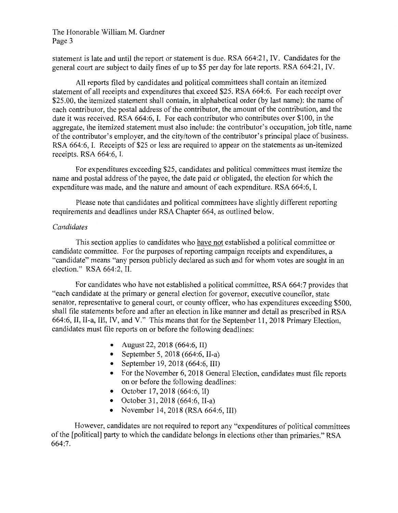statement is late and until the report or statement is due. RSA 664:21, IV. Candidates for the general court are subject to daily fines of up to \$5 per day for late reports. RSA 664:21, IV.

All reports filed by candidates and political committees shall contain an itemized statement of all receipts and expenditures that exceed \$25. RSA 664:6. For each receipt over \$25.00, the itemized statement shall contain, in alphabetical order (by last name): the name of each contributor, the postal address of the contributor, the amount of the contribution, and the date it was received. RSA 664:6, I. For each contributor who contributes over \$100, in the aggregate, the itemized statement must also include: the contributor's occupation, job title, name of the contributor's employer, and the city/town of the contributor's principal place of business. RSA 664:6, I. Receipts of \$25 or less are required to appear on the statements as un-itemized receipts. RSA 664:6, I.

For expenditures exceeding \$25, candidates and political committees must itemize the name and postal address of the payee, the date paid or obligated, the election for which the expenditure was made, and the nature and amount of each expenditure. RSA 664:6, I.

Please note that candidates and political committees have slightly different reporting requirements and deadlines under RSA Chapter 664, as outlined below.

#### *Candidates*

This section applies to candidates who have not established a political committee or candidate committee. For the purposes of reporting campaign receipts and expenditures, a "candidate" means "any person publicly declared as such and for whom votes are sought in an election." RSA 664:2, II.

For candidates who have not established a political committee, RSA 664:7 provides that "each candidate at the primary or general election for governor, executive councilor, state senator, representative to general court, or county officer, who has expenditures exceeding \$500, shall file statements before and after an election in like manner and detail as prescribed in RSA 664:6, II, II-a, III, IV, and V." This means that for the September 11, 2018 Primary Election, candidates must file reports on or before the following deadlines:

- August 22, 2018 (664:6, II)
- September 5, 2018 (664:6, II-a)
- September 19, 2018 (664:6, III)
- For the November 6, 2018 General Election, candidates must file reports on or before the following deadlines:
- October 17, 2018 (664:6, II)
- October 31, 2018 (664:6, II-a)
- November 14, 2018 (RSA 664:6, III)

However, candidates are not required to report any "expenditures of political committees of the [political] party to which the candidate belongs in elections other than primaries." RSA 664:7.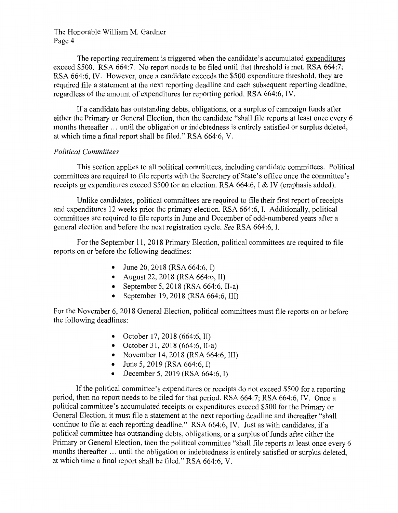The reporting requirement is triggered when the candidate's accumulated expenditures exceed \$500. RSA 664:7. No report needs to be filed until that threshold is met. RSA 664:7; RSA 664:6, IV. However, once a candidate exceeds the \$500 expenditure threshold, they are required file a statement at the next reporting deadline and each subsequent reporting deadline, regardless of the amount of expenditures for reporting period. RSA 664:6, IV.

If a candidate has outstanding debts, obligations, or a surplus of campaign funds after either the Primary or General Election, then the candidate "shall file reports at least once every 6 months thereafter ... until the obligation or indebtedness is entirely satisfied or surplus deleted, at which time a final report shall be filed." RSA 664:6, V.

### *Political Committees*

This section applies to all political committees, including candidate committees. Political committees are required to file reports with the Secretary of State's office once the committee's receipts or expenditures exceed \$500 for an election. RSA 664:6, I & IV (emphasis added).

Unlike candidates, political committees are required to file their first report of receipts and expenditures 12 weeks prior the primary election. RSA 664:6, I. Additionally, political committees are required to file reports in June and December of odd-numbered years after a general election and before the next registration cycle. *See* RSA 664:6, I.

For the September 11, 2018 Primary Election, political committees are required to file reports on or before the following deadlines:

- June 20, 2018 (RSA 664:6, I)
- August 22, 2018 (RSA 664:6, II)
- September 5, 2018 (RSA 664:6, II-a)
- September 19, 2018 (RSA 664:6, III)

For the November 6, 2018 General Election, political committees must file reports on or before the following deadlines:

- October 17, 2018 (664:6, II)
- October 31, 2018 (664:6, II-a)
- November 14, 2018 (RSA 664:6, III)
- June 5, 2019 (RSA 664:6, I)
- December 5, 2019 (RSA 664:6, I)

If the political committee's expenditures or receipts do not exceed \$500 for a reporting period, then no report needs to be filed for that period. RSA 664:7; RSA 664:6, IV. Once a political committee's accumulated receipts or expenditures exceed \$500 for the Primary or General Election, it must file a statement at the next reporting deadline and thereafter "shall continue to file at each reporting deadline." RSA 664:6, IV. Just as with candidates, if a political committee has outstanding debts, obligations, or a surplus of funds after either the Primary or General Election, then the political committee "shall file reports at least once every 6 months thereafter ... until the obligation or indebtedness is entirely satisfied or surplus deleted, at which time a final report shall be filed." RSA 664:6, V.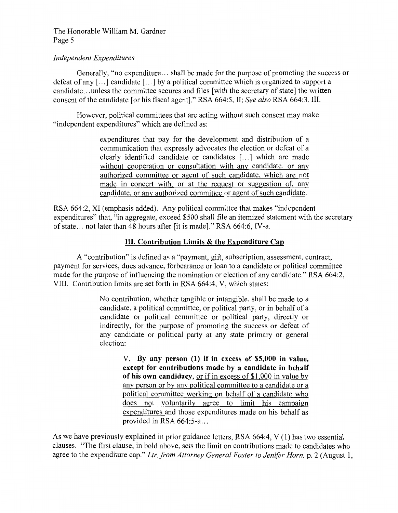#### *Independent Expenditures*

Generally, "no expenditure ... shall be made for the purpose of promoting the success or defeat of any [...] candidate [...] by a political committee which is organized to support a candidate ... unless the committee secures and files [with the secretary of state] the written consent of the candidate [or his fiscal agent]." RSA 664:5, II; *See also* RSA 664:3, III.

However, political committees that are acting without such consent may make "independent expenditures" which are defined as:

> expenditures that pay for the development and distribution of a communication that expressly advocates the election or defeat of a clearly identified candidate or candidates [ ... ] which are made without cooperation or consultation with any candidate, or any authorized committee or agent of such candidate, which are not made in concert with, or at the request or suggestion of, any candidate, or any authorized committee or agent of such candidate.

RSA 664:2, XI (emphasis added). Any political committee that makes "independent expenditures" that, "in aggregate, exceed \$500 shall file an itemized statement with the secretary of state ... not later than 48 hours after [it is made]." RSA 664:6, IV-a.

## **III. Contribution Limits & the Expenditure Cap**

A "contribution" is defined as a "payment, gift, subscription, assessment, contract, payment for services, dues advance, forbearance or loan to a candidate or political committee made for the purpose of influencing the nomination or election of any candidate." RSA 664:2, VIII. Contribution limits are set forth in RSA 664:4, V, which states:

> No contribution, whether tangible or intangible, shall be made to a candidate, a political committee, or political party, or in behalf of a candidate or political committee or political party, directly or indirectly, for the purpose of promoting the success or defeat of any candidate or political party at any state primary or general election:

> > V. **By any person (1) if in excess of \$5,000 in value, except for contributions made by a candidate in behalf of his own candidacy,** or if in excess of \$1,000 in value by any person or by any political committee to a candidate or a political committee working on behalf of a candidate who does not voluntarily agree to limit his campaign expenditures and those expenditures made on his behalf as provided in RSA 664:5-a...

As we have previously explained in prior guidance letters, RSA 664:4, V (1) has two essential clauses. "The first clause, in bold above, sets the limit on contributions made to candidates who agree to the expenditure cap." *Ltr. from Attorney General Foster to Jenifer Horn,* p. 2 (August 1,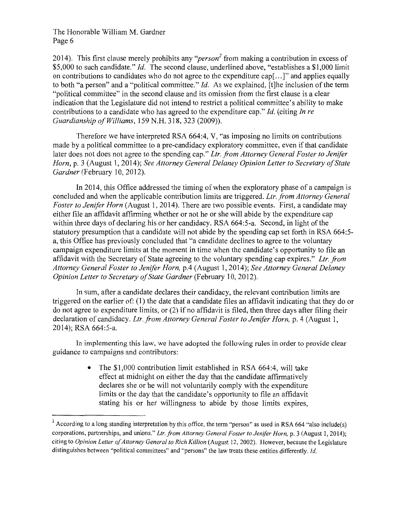2014). This first clause merely prohibits any *"person<sup>2</sup>*from making a contribution in excess of \$5,000 to such candidate." *Id.* The second clause, underlined above, "establishes a \$1,000 limit on contributions to candidates who do not agree to the expenditure cap[ ... ]" and applies equally to both "a person" and a "political committee." *Id.* As we explained, [t]he inclusion of the term "political committee" in the second clause and its omission from the first clause is a clear indication that the Legislature did not intend to restrict a political committee's ability to make contributions to a candidate who has agreed to the expenditure cap." *Id.* (citing *In re Guardianship of Williams,* 159 N.H. 318, 323 (2009)).

Therefore we have interpreted RSA 664:4, V, "as imposing no limits on contributions made by a political committee to a pre-candidacy exploratory committee, even if that candidate later does not does not agree to the spending cap." *Ltr. from Attorney General Foster to Jenifer Horn,* p. 3 (August 1, 2014); *See Attorney General Delaney Opinion Letter to Secretary of State Gardner* (February 10, 2012).

In 2014, this Office addressed the timing of when the exploratory phase of a campaign is concluded and when the applicable contribution limits are triggered. *Ltr. from Attorney General Foster to Jenifer Horn* (August 1, 2014). There are two possible events. First, a candidate may either file an affidavit affirming whether or not he or she will abide by the expenditure cap within three days of declaring his or her candidacy. RSA 664:5-a. Second, in light of the statutory presumption that a candidate will not abide by the spending cap set forth in RSA 664:5 a, this Office has previously concluded that "a candidate declines to agree to the voluntary campaign expenditure limits at the moment in time when the candidate's opportunity to file an affidavit with the Secretary of State agreeing to the voluntary spending cap expires." *Ltr. from Attorney General Foster to Jenifer Horn,* p.4 (August 1, 2014); *See Attorney General Delaney Opinion Letter to Secretary of State Gardner* (February 10, 2012).

In sum, after a candidate declares their candidacy, the relevant contribution limits are triggered on the earlier of: ( 1) the date that a candidate files an affidavit indicating that they do or do not agree to expenditure limits, or (2) if no affidavit is filed, then three days after filing their declaration of candidacy. *Ltr. from Attorney General Foster to Jenifer Horn,* p. 4 (August 1, 2014); RSA 664:5-a.

In implementing this law, we have adopted the following rules in order to provide clear guidance to campaigns and contributors:

> • The \$1,000 contribution limit established in RSA 664:4, will take effect at midnight on either the day that the candidate affirmatively declares she or he will not voluntarily comply with the expenditure limits or the day that the candidate's opportunity to file an affidavit stating his or her willingness to abide by those limits expires,

<sup>&</sup>lt;sup>2</sup> According to a long standing interpretation by this office, the term "person" as used in RSA 664 "also include(s) corporations, partnerships, and unions." *Ltr. from Attorney General Foster to Jenifer Horn,* p. 3 (August 1, 2014); citing to *Opinion Letter of Attorney General to Rich Killion* (August 12, 2002). However, because the Legislature distinguishes between "political committees" and "persons" the law treats these entities differently. *Id.*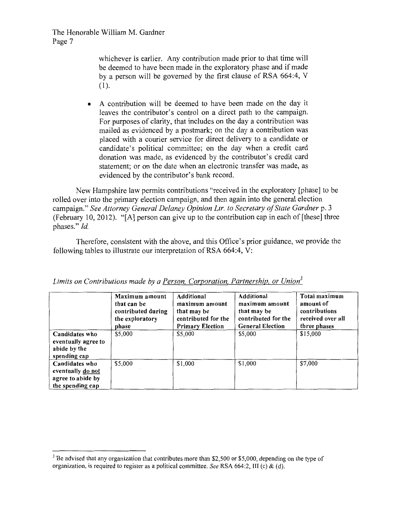> whichever is earlier. Any contribution made prior to that time will be deemed to have been made in the exploratory phase and if made by a person will be governed by the first clause of RSA 664:4, V (1).

• A contribution will be deemed to have been made on the day it leaves the contributor's control on a direct path to the campaign. For purposes of clarity, that includes on the day a contribution was mailed as evidenced by a postmark; on the day a contribution was placed with a courier service for direct delivery to a candidate or candidate's political committee; on the day when a credit card donation was made, as evidenced by the contributor's credit card statement; or on the date when an electronic transfer was made, as evidenced by the contributor's bank record.

New Hampshire law permits contributions "received in the exploratory [phase] to be rolled over into the primary election campaign, and then again into the general election campaign." *See Attorney General Delaney Opinion Ltr. to Secretary of State Gardner* p. 3 (February 10, 2012). "[A] person can give up to the contribution cap in each of [these] three phases." *Id.* 

Therefore, consistent with the above, and this Office's prior guidance, we provide the following tables to illustrate our interpretation of RSA 664:4, V:

|                                                                              | Maximum amount<br>that can be<br>contributed during<br>the exploratory<br>phase | Additional<br>maximum amount<br>that may be<br>contributed for the<br><b>Primary Election</b> | Additional<br>maximum amount<br>that may be<br>contributed for the<br><b>General Election</b> | Total maximum<br>amount of<br>contributions<br>received over all<br>three phases |
|------------------------------------------------------------------------------|---------------------------------------------------------------------------------|-----------------------------------------------------------------------------------------------|-----------------------------------------------------------------------------------------------|----------------------------------------------------------------------------------|
| Candidates who<br>eventually agree to<br>abide by the<br>spending cap        | \$5,000                                                                         | \$5,000                                                                                       | \$5,000                                                                                       | \$15,000                                                                         |
| Candidates who<br>eventually do not<br>agree to abide by<br>the spending cap | \$5,000                                                                         | \$1,000                                                                                       | \$1,000                                                                                       | \$7,000                                                                          |

*Limits on Contributions made by a Person, Corporation, Partnership, or Union<sup>3</sup>*

 $3$  Be advised that any organization that contributes more than \$2,500 or \$5,000, depending on the type of organization, is required to register as a political committee. *See* RSA 664:2, III (c) & (d).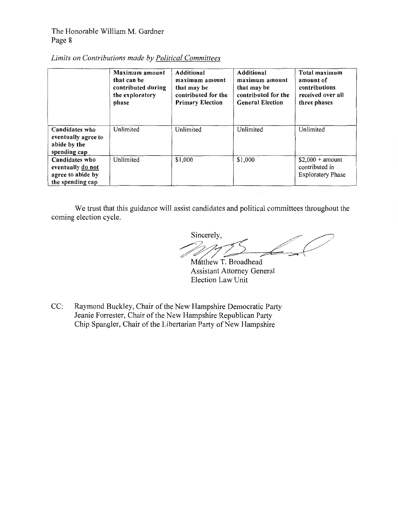## *Limits on Contributions made by Political Committees*

|                                                                              | Maximum amount<br>that can be<br>contributed during<br>the exploratory<br>phase | Additional<br>maximum amount<br>that may be<br>contributed for the<br><b>Primary Election</b> | <b>Additional</b><br>maximum amount<br>that may be<br>contributed for the<br><b>General Election</b> | Total maximum<br>amount of<br>contributions<br>received over all<br>three phases |
|------------------------------------------------------------------------------|---------------------------------------------------------------------------------|-----------------------------------------------------------------------------------------------|------------------------------------------------------------------------------------------------------|----------------------------------------------------------------------------------|
| Candidates who<br>eventually agree to<br>abide by the<br>spending cap        | Unlimited                                                                       | Unlimited                                                                                     | Unlimited                                                                                            | Unlimited                                                                        |
| Candidates who<br>eventually do not<br>agree to abide by<br>the spending cap | Unlimited                                                                       | \$1,000                                                                                       | \$1,000                                                                                              | $$2,000 + amount$<br>contributed in<br><b>Exploratory Phase</b>                  |

We trust that this guidance will assist candidates and political committees throughout the coming election cycle.

Sincerely,  $111222$ 

Mátthew T. Broadhead Assistant Attorney General Election Law Unit

CC: Raymond Buckley, Chair of the New Hampshire Democratic Party Jeanie Forrester, Chair of the New Hampshire Republican Party Chip Spangler, Chair of the Libertarian Party of New Hampshire